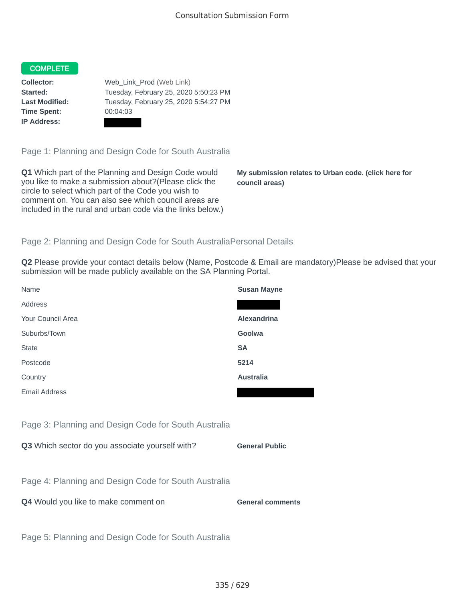## COMPLETE

**Time Spent:** 00:04:03 **IP Address:**

**Collector:** Web\_Link\_Prod (Web Link) **Started:** Tuesday, February 25, 2020 5:50:23 PM **Last Modified:** Tuesday, February 25, 2020 5:54:27 PM

Page 1: Planning and Design Code for South Australia

**Q1** Which part of the Planning and Design Code would you like to make a submission about?(Please click the circle to select which part of the Code you wish to comment on. You can also see which council areas are included in the rural and urban code via the links below.)

**My submission relates to Urban code. (click here for council areas)**

## Page 2: Planning and Design Code for South AustraliaPersonal Details

**Q2** Please provide your contact details below (Name, Postcode & Email are mandatory)Please be advised that your submission will be made publicly available on the SA Planning Portal.

| Name                                                 | <b>Susan Mayne</b>      |
|------------------------------------------------------|-------------------------|
| Address                                              |                         |
| Your Council Area                                    | Alexandrina             |
| Suburbs/Town                                         | Goolwa                  |
| <b>State</b>                                         | <b>SA</b>               |
| Postcode                                             | 5214                    |
| Country                                              | <b>Australia</b>        |
| <b>Email Address</b>                                 |                         |
|                                                      |                         |
| Page 3: Planning and Design Code for South Australia |                         |
| Q3 Which sector do you associate yourself with?      | <b>General Public</b>   |
|                                                      |                         |
| Page 4: Planning and Design Code for South Australia |                         |
| Q4 Would you like to make comment on                 | <b>General comments</b> |
|                                                      |                         |
| Page 5: Planning and Design Code for South Australia |                         |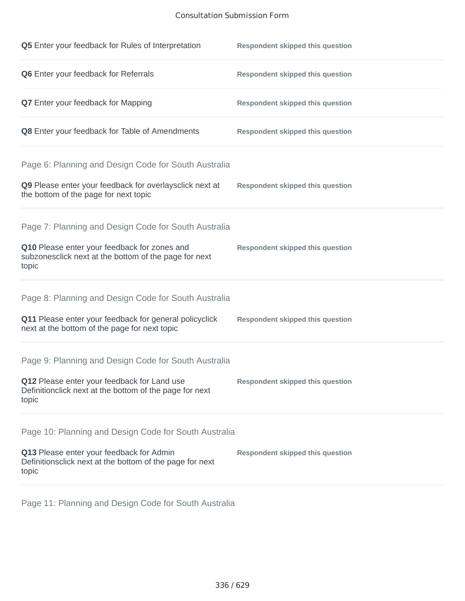## Consultation Submission Form

| Q5 Enter your feedback for Rules of Interpretation                                                                                                                      | <b>Respondent skipped this question</b> |
|-------------------------------------------------------------------------------------------------------------------------------------------------------------------------|-----------------------------------------|
| Q6 Enter your feedback for Referrals                                                                                                                                    | <b>Respondent skipped this question</b> |
| <b>Q7</b> Enter your feedback for Mapping                                                                                                                               | <b>Respondent skipped this question</b> |
| Q8 Enter your feedback for Table of Amendments                                                                                                                          | <b>Respondent skipped this question</b> |
| Page 6: Planning and Design Code for South Australia<br>Q9 Please enter your feedback for overlaysclick next at<br>the bottom of the page for next topic                | <b>Respondent skipped this question</b> |
| Page 7: Planning and Design Code for South Australia<br>Q10 Please enter your feedback for zones and<br>subzonesclick next at the bottom of the page for next<br>topic  | <b>Respondent skipped this question</b> |
| Page 8: Planning and Design Code for South Australia<br>Q11 Please enter your feedback for general policyclick<br>next at the bottom of the page for next topic         | <b>Respondent skipped this question</b> |
| Page 9: Planning and Design Code for South Australia<br>Q12 Please enter your feedback for Land use<br>Definitionclick next at the bottom of the page for next<br>topic | <b>Respondent skipped this question</b> |
| Page 10: Planning and Design Code for South Australia<br>Q13 Please enter your feedback for Admin<br>Definitionsclick next at the bottom of the page for next<br>topic  | <b>Respondent skipped this question</b> |

Page 11: Planning and Design Code for South Australia